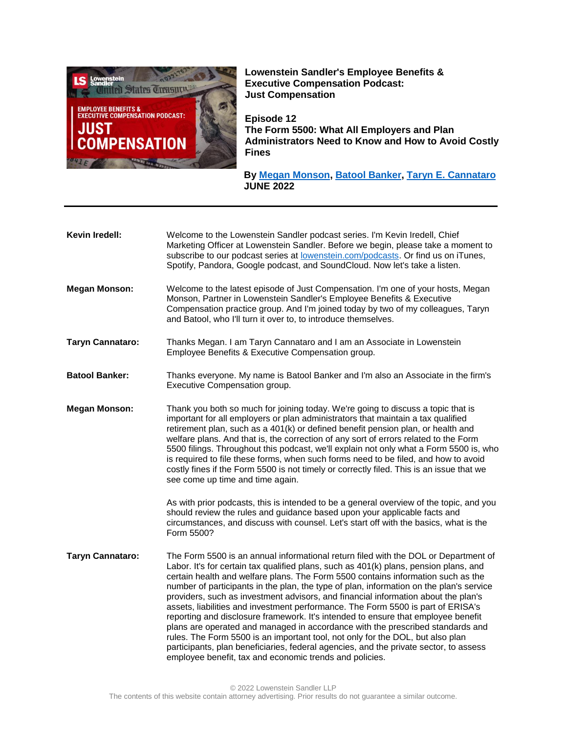

**Lowenstein Sandler's Employee Benefits & Executive Compensation Podcast: Just Compensation**

**Episode 12 The Form 5500: What All Employers and Plan Administrators Need to Know and How to Avoid Costly Fines**

 **By [Megan Monson,](https://www.lowenstein.com/people/attorneys/megan-monson) [Batool Banker,](https://www.lowenstein.com/people/attorneys/batool-banker) [Taryn E. Cannataro](https://www.lowenstein.com/people/attorneys/taryn-cannataro) JUNE 2022**

| Kevin Iredell:          | Welcome to the Lowenstein Sandler podcast series. I'm Kevin Iredell, Chief<br>Marketing Officer at Lowenstein Sandler. Before we begin, please take a moment to<br>subscribe to our podcast series at lowenstein.com/podcasts. Or find us on iTunes,<br>Spotify, Pandora, Google podcast, and SoundCloud. Now let's take a listen.                                                                                                                                                                                                                                                                                                                                                                                                                                                                                                                                                                                                                 |
|-------------------------|----------------------------------------------------------------------------------------------------------------------------------------------------------------------------------------------------------------------------------------------------------------------------------------------------------------------------------------------------------------------------------------------------------------------------------------------------------------------------------------------------------------------------------------------------------------------------------------------------------------------------------------------------------------------------------------------------------------------------------------------------------------------------------------------------------------------------------------------------------------------------------------------------------------------------------------------------|
| <b>Megan Monson:</b>    | Welcome to the latest episode of Just Compensation. I'm one of your hosts, Megan<br>Monson, Partner in Lowenstein Sandler's Employee Benefits & Executive<br>Compensation practice group. And I'm joined today by two of my colleagues, Taryn<br>and Batool, who I'll turn it over to, to introduce themselves.                                                                                                                                                                                                                                                                                                                                                                                                                                                                                                                                                                                                                                    |
| <b>Taryn Cannataro:</b> | Thanks Megan. I am Taryn Cannataro and I am an Associate in Lowenstein<br>Employee Benefits & Executive Compensation group.                                                                                                                                                                                                                                                                                                                                                                                                                                                                                                                                                                                                                                                                                                                                                                                                                        |
| <b>Batool Banker:</b>   | Thanks everyone. My name is Batool Banker and I'm also an Associate in the firm's<br>Executive Compensation group.                                                                                                                                                                                                                                                                                                                                                                                                                                                                                                                                                                                                                                                                                                                                                                                                                                 |
| <b>Megan Monson:</b>    | Thank you both so much for joining today. We're going to discuss a topic that is<br>important for all employers or plan administrators that maintain a tax qualified<br>retirement plan, such as a 401(k) or defined benefit pension plan, or health and<br>welfare plans. And that is, the correction of any sort of errors related to the Form<br>5500 filings. Throughout this podcast, we'll explain not only what a Form 5500 is, who<br>is required to file these forms, when such forms need to be filed, and how to avoid<br>costly fines if the Form 5500 is not timely or correctly filed. This is an issue that we<br>see come up time and time again.                                                                                                                                                                                                                                                                                  |
|                         | As with prior podcasts, this is intended to be a general overview of the topic, and you<br>should review the rules and guidance based upon your applicable facts and<br>circumstances, and discuss with counsel. Let's start off with the basics, what is the<br>Form 5500?                                                                                                                                                                                                                                                                                                                                                                                                                                                                                                                                                                                                                                                                        |
| <b>Taryn Cannataro:</b> | The Form 5500 is an annual informational return filed with the DOL or Department of<br>Labor. It's for certain tax qualified plans, such as 401(k) plans, pension plans, and<br>certain health and welfare plans. The Form 5500 contains information such as the<br>number of participants in the plan, the type of plan, information on the plan's service<br>providers, such as investment advisors, and financial information about the plan's<br>assets, liabilities and investment performance. The Form 5500 is part of ERISA's<br>reporting and disclosure framework. It's intended to ensure that employee benefit<br>plans are operated and managed in accordance with the prescribed standards and<br>rules. The Form 5500 is an important tool, not only for the DOL, but also plan<br>participants, plan beneficiaries, federal agencies, and the private sector, to assess<br>employee benefit, tax and economic trends and policies. |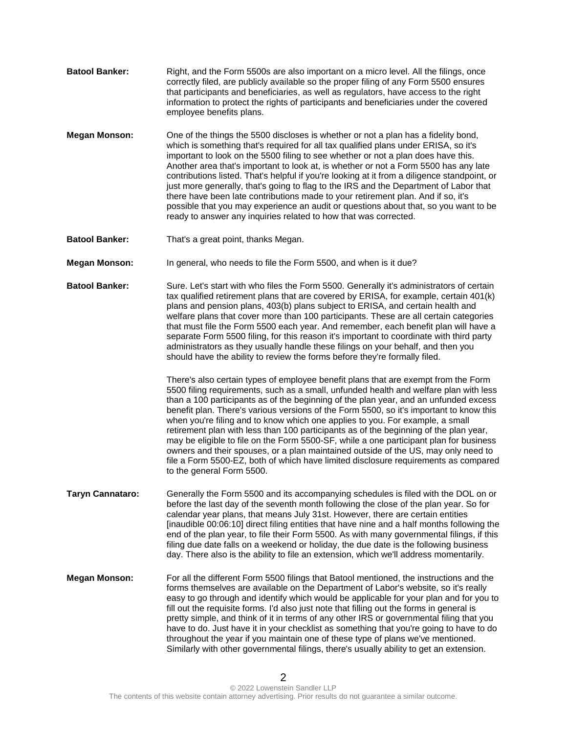- **Batool Banker:** Right, and the Form 5500s are also important on a micro level. All the filings, once correctly filed, are publicly available so the proper filing of any Form 5500 ensures that participants and beneficiaries, as well as regulators, have access to the right information to protect the rights of participants and beneficiaries under the covered employee benefits plans.
- **Megan Monson:** One of the things the 5500 discloses is whether or not a plan has a fidelity bond, which is something that's required for all tax qualified plans under ERISA, so it's important to look on the 5500 filing to see whether or not a plan does have this. Another area that's important to look at, is whether or not a Form 5500 has any late contributions listed. That's helpful if you're looking at it from a diligence standpoint, or just more generally, that's going to flag to the IRS and the Department of Labor that there have been late contributions made to your retirement plan. And if so, it's possible that you may experience an audit or questions about that, so you want to be ready to answer any inquiries related to how that was corrected.
- **Batool Banker:** That's a great point, thanks Megan.

**Megan Monson:** In general, who needs to file the Form 5500, and when is it due?

Batool Banker: Sure. Let's start with who files the Form 5500. Generally it's administrators of certain tax qualified retirement plans that are covered by ERISA, for example, certain 401(k) plans and pension plans, 403(b) plans subject to ERISA, and certain health and welfare plans that cover more than 100 participants. These are all certain categories that must file the Form 5500 each year. And remember, each benefit plan will have a separate Form 5500 filing, for this reason it's important to coordinate with third party administrators as they usually handle these filings on your behalf, and then you should have the ability to review the forms before they're formally filed.

> There's also certain types of employee benefit plans that are exempt from the Form 5500 filing requirements, such as a small, unfunded health and welfare plan with less than a 100 participants as of the beginning of the plan year, and an unfunded excess benefit plan. There's various versions of the Form 5500, so it's important to know this when you're filing and to know which one applies to you. For example, a small retirement plan with less than 100 participants as of the beginning of the plan year, may be eligible to file on the Form 5500-SF, while a one participant plan for business owners and their spouses, or a plan maintained outside of the US, may only need to file a Form 5500-EZ, both of which have limited disclosure requirements as compared to the general Form 5500.

- **Taryn Cannataro:** Generally the Form 5500 and its accompanying schedules is filed with the DOL on or before the last day of the seventh month following the close of the plan year. So for calendar year plans, that means July 31st. However, there are certain entities [inaudible 00:06:10] direct filing entities that have nine and a half months following the end of the plan year, to file their Form 5500. As with many governmental filings, if this filing due date falls on a weekend or holiday, the due date is the following business day. There also is the ability to file an extension, which we'll address momentarily.
- **Megan Monson:** For all the different Form 5500 filings that Batool mentioned, the instructions and the forms themselves are available on the Department of Labor's website, so it's really easy to go through and identify which would be applicable for your plan and for you to fill out the requisite forms. I'd also just note that filling out the forms in general is pretty simple, and think of it in terms of any other IRS or governmental filing that you have to do. Just have it in your checklist as something that you're going to have to do throughout the year if you maintain one of these type of plans we've mentioned. Similarly with other governmental filings, there's usually ability to get an extension.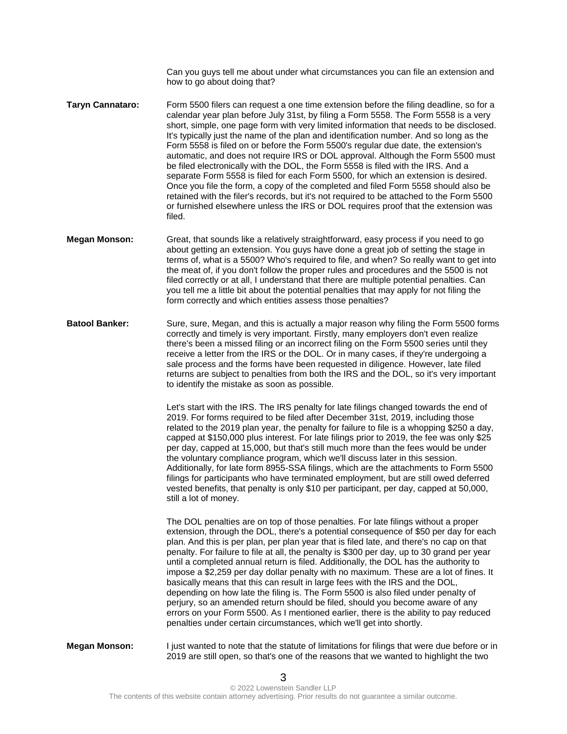Can you guys tell me about under what circumstances you can file an extension and how to go about doing that?

- **Taryn Cannataro:** Form 5500 filers can request a one time extension before the filing deadline, so for a calendar year plan before July 31st, by filing a Form 5558. The Form 5558 is a very short, simple, one page form with very limited information that needs to be disclosed. It's typically just the name of the plan and identification number. And so long as the Form 5558 is filed on or before the Form 5500's regular due date, the extension's automatic, and does not require IRS or DOL approval. Although the Form 5500 must be filed electronically with the DOL, the Form 5558 is filed with the IRS. And a separate Form 5558 is filed for each Form 5500, for which an extension is desired. Once you file the form, a copy of the completed and filed Form 5558 should also be retained with the filer's records, but it's not required to be attached to the Form 5500 or furnished elsewhere unless the IRS or DOL requires proof that the extension was filed.
- **Megan Monson:** Great, that sounds like a relatively straightforward, easy process if you need to go about getting an extension. You guys have done a great job of setting the stage in terms of, what is a 5500? Who's required to file, and when? So really want to get into the meat of, if you don't follow the proper rules and procedures and the 5500 is not filed correctly or at all, I understand that there are multiple potential penalties. Can you tell me a little bit about the potential penalties that may apply for not filing the form correctly and which entities assess those penalties?
- **Batool Banker:** Sure, sure, Megan, and this is actually a major reason why filing the Form 5500 forms correctly and timely is very important. Firstly, many employers don't even realize there's been a missed filing or an incorrect filing on the Form 5500 series until they receive a letter from the IRS or the DOL. Or in many cases, if they're undergoing a sale process and the forms have been requested in diligence. However, late filed returns are subject to penalties from both the IRS and the DOL, so it's very important to identify the mistake as soon as possible.

Let's start with the IRS. The IRS penalty for late filings changed towards the end of 2019. For forms required to be filed after December 31st, 2019, including those related to the 2019 plan year, the penalty for failure to file is a whopping \$250 a day, capped at \$150,000 plus interest. For late filings prior to 2019, the fee was only \$25 per day, capped at 15,000, but that's still much more than the fees would be under the voluntary compliance program, which we'll discuss later in this session. Additionally, for late form 8955-SSA filings, which are the attachments to Form 5500 filings for participants who have terminated employment, but are still owed deferred vested benefits, that penalty is only \$10 per participant, per day, capped at 50,000, still a lot of money.

The DOL penalties are on top of those penalties. For late filings without a proper extension, through the DOL, there's a potential consequence of \$50 per day for each plan. And this is per plan, per plan year that is filed late, and there's no cap on that penalty. For failure to file at all, the penalty is \$300 per day, up to 30 grand per year until a completed annual return is filed. Additionally, the DOL has the authority to impose a \$2,259 per day dollar penalty with no maximum. These are a lot of fines. It basically means that this can result in large fees with the IRS and the DOL, depending on how late the filing is. The Form 5500 is also filed under penalty of perjury, so an amended return should be filed, should you become aware of any errors on your Form 5500. As I mentioned earlier, there is the ability to pay reduced penalties under certain circumstances, which we'll get into shortly.

**Megan Monson:** I just wanted to note that the statute of limitations for filings that were due before or in 2019 are still open, so that's one of the reasons that we wanted to highlight the two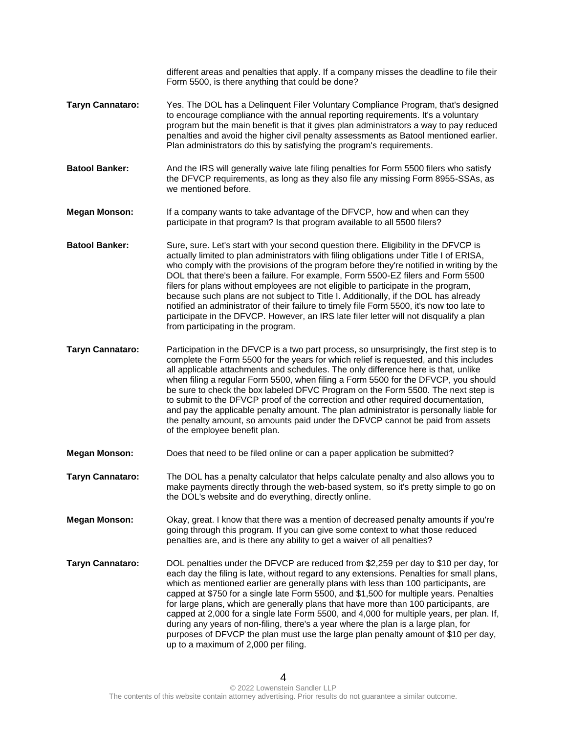different areas and penalties that apply. If a company misses the deadline to file their Form 5500, is there anything that could be done?

- **Taryn Cannataro:** Yes. The DOL has a Delinquent Filer Voluntary Compliance Program, that's designed to encourage compliance with the annual reporting requirements. It's a voluntary program but the main benefit is that it gives plan administrators a way to pay reduced penalties and avoid the higher civil penalty assessments as Batool mentioned earlier. Plan administrators do this by satisfying the program's requirements.
- **Batool Banker:** And the IRS will generally waive late filing penalties for Form 5500 filers who satisfy the DFVCP requirements, as long as they also file any missing Form 8955-SSAs, as we mentioned before.
- **Megan Monson:** If a company wants to take advantage of the DFVCP, how and when can they participate in that program? Is that program available to all 5500 filers?
- **Batool Banker:** Sure, sure. Let's start with your second question there. Eligibility in the DFVCP is actually limited to plan administrators with filing obligations under Title I of ERISA, who comply with the provisions of the program before they're notified in writing by the DOL that there's been a failure. For example, Form 5500-EZ filers and Form 5500 filers for plans without employees are not eligible to participate in the program, because such plans are not subject to Title I. Additionally, if the DOL has already notified an administrator of their failure to timely file Form 5500, it's now too late to participate in the DFVCP. However, an IRS late filer letter will not disqualify a plan from participating in the program.
- **Taryn Cannataro:** Participation in the DFVCP is a two part process, so unsurprisingly, the first step is to complete the Form 5500 for the years for which relief is requested, and this includes all applicable attachments and schedules. The only difference here is that, unlike when filing a regular Form 5500, when filing a Form 5500 for the DFVCP, you should be sure to check the box labeled DFVC Program on the Form 5500. The next step is to submit to the DFVCP proof of the correction and other required documentation, and pay the applicable penalty amount. The plan administrator is personally liable for the penalty amount, so amounts paid under the DFVCP cannot be paid from assets of the employee benefit plan.
- **Megan Monson:** Does that need to be filed online or can a paper application be submitted?
- **Taryn Cannataro:** The DOL has a penalty calculator that helps calculate penalty and also allows you to make payments directly through the web-based system, so it's pretty simple to go on the DOL's website and do everything, directly online.
- **Megan Monson:** Okay, great. I know that there was a mention of decreased penalty amounts if you're going through this program. If you can give some context to what those reduced penalties are, and is there any ability to get a waiver of all penalties?
- **Taryn Cannataro:** DOL penalties under the DFVCP are reduced from \$2,259 per day to \$10 per day, for each day the filing is late, without regard to any extensions. Penalties for small plans, which as mentioned earlier are generally plans with less than 100 participants, are capped at \$750 for a single late Form 5500, and \$1,500 for multiple years. Penalties for large plans, which are generally plans that have more than 100 participants, are capped at 2,000 for a single late Form 5500, and 4,000 for multiple years, per plan. If, during any years of non-filing, there's a year where the plan is a large plan, for purposes of DFVCP the plan must use the large plan penalty amount of \$10 per day, up to a maximum of 2,000 per filing.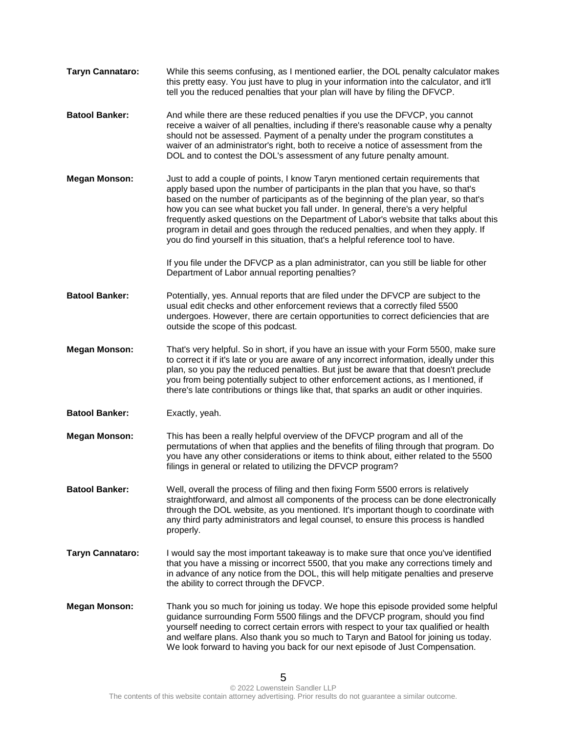**Taryn Cannataro:** While this seems confusing, as I mentioned earlier, the DOL penalty calculator makes this pretty easy. You just have to plug in your information into the calculator, and it'll tell you the reduced penalties that your plan will have by filing the DFVCP. **Batool Banker:** And while there are these reduced penalties if you use the DFVCP, you cannot receive a waiver of all penalties, including if there's reasonable cause why a penalty should not be assessed. Payment of a penalty under the program constitutes a waiver of an administrator's right, both to receive a notice of assessment from the DOL and to contest the DOL's assessment of any future penalty amount. **Megan Monson:** Just to add a couple of points, I know Taryn mentioned certain requirements that apply based upon the number of participants in the plan that you have, so that's based on the number of participants as of the beginning of the plan year, so that's how you can see what bucket you fall under. In general, there's a very helpful frequently asked questions on the Department of Labor's website that talks about this program in detail and goes through the reduced penalties, and when they apply. If you do find yourself in this situation, that's a helpful reference tool to have. If you file under the DFVCP as a plan administrator, can you still be liable for other Department of Labor annual reporting penalties? **Batool Banker:** Potentially, yes. Annual reports that are filed under the DFVCP are subject to the usual edit checks and other enforcement reviews that a correctly filed 5500 undergoes. However, there are certain opportunities to correct deficiencies that are outside the scope of this podcast. **Megan Monson:** That's very helpful. So in short, if you have an issue with your Form 5500, make sure to correct it if it's late or you are aware of any incorrect information, ideally under this plan, so you pay the reduced penalties. But just be aware that that doesn't preclude you from being potentially subject to other enforcement actions, as I mentioned, if there's late contributions or things like that, that sparks an audit or other inquiries. **Batool Banker:** Exactly, yeah. **Megan Monson:** This has been a really helpful overview of the DFVCP program and all of the permutations of when that applies and the benefits of filing through that program. Do you have any other considerations or items to think about, either related to the 5500 filings in general or related to utilizing the DFVCP program? **Batool Banker:** Well, overall the process of filing and then fixing Form 5500 errors is relatively straightforward, and almost all components of the process can be done electronically through the DOL website, as you mentioned. It's important though to coordinate with any third party administrators and legal counsel, to ensure this process is handled properly. **Taryn Cannataro:** I would say the most important takeaway is to make sure that once you've identified that you have a missing or incorrect 5500, that you make any corrections timely and in advance of any notice from the DOL, this will help mitigate penalties and preserve the ability to correct through the DFVCP. **Megan Monson:** Thank you so much for joining us today. We hope this episode provided some helpful guidance surrounding Form 5500 filings and the DFVCP program, should you find yourself needing to correct certain errors with respect to your tax qualified or health and welfare plans. Also thank you so much to Taryn and Batool for joining us today. We look forward to having you back for our next episode of Just Compensation.